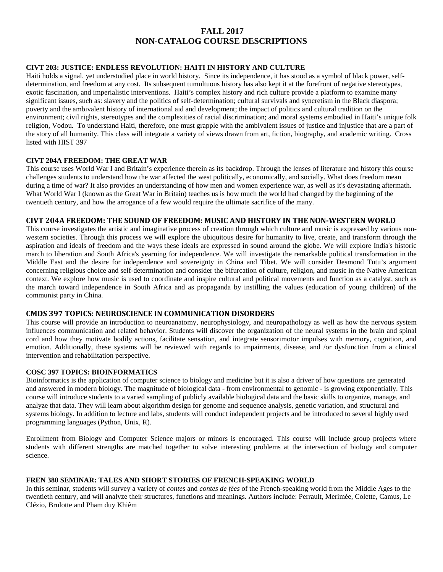# **FALL 2017 NON-CATALOG COURSE DESCRIPTIONS**

# **CIVT 203: JUSTICE: ENDLESS REVOLUTION: HAITI IN HISTORY AND CULTURE**

Haiti holds a signal, yet understudied place in world history. Since its independence, it has stood as a symbol of black power, selfdetermination, and freedom at any cost. Its subsequent tumultuous history has also kept it at the forefront of negative stereotypes, exotic fascination, and imperialistic interventions. Haiti's complex history and rich culture provide a platform to examine many significant issues, such as: slavery and the politics of self-determination; cultural survivals and syncretism in the Black diaspora; poverty and the ambivalent history of international aid and development; the impact of politics and cultural tradition on the environment; civil rights, stereotypes and the complexities of racial discrimination; and moral systems embodied in Haiti's unique folk religion, Vodou. To understand Haiti, therefore, one must grapple with the ambivalent issues of justice and injustice that are a part of the story of all humanity. This class will integrate a variety of views drawn from art, fiction, biography, and academic writing. Cross listed with HIST 397

### **CIVT 204A FREEDOM: THE GREAT WAR**

This course uses World War I and Britain's experience therein as its backdrop. Through the lenses of literature and history this course challenges students to understand how the war affected the west politically, economically, and socially. What does freedom mean during a time of war? It also provides an understanding of how men and women experience war, as well as it's devastating aftermath. What World War I (known as the Great War in Britain) teaches us is how much the world had changed by the beginning of the twentieth century, and how the arrogance of a few would require the ultimate sacrifice of the many.

## **CIVT 204A FREEDOM: THE SOUND OF FREEDOM: MUSIC AND HISTORY IN THE NON-WESTERN WORLD**

This course investigates the artistic and imaginative process of creation through which culture and music is expressed by various nonwestern societies. Through this process we will explore the ubiquitous desire for humanity to live, create, and transform through the aspiration and ideals of freedom and the ways these ideals are expressed in sound around the globe. We will explore India's historic march to liberation and South Africa's yearning for independence. We will investigate the remarkable political transformation in the Middle East and the desire for independence and sovereignty in China and Tibet. We will consider Desmond Tutu's argument concerning religious choice and self-determination and consider the bifurcation of culture, religion, and music in the Native American context. We explore how music is used to coordinate and inspire cultural and political movements and function as a catalyst, such as the march toward independence in South Africa and as propaganda by instilling the values (education of young children) of the communist party in China.

## **CMDS 397 TOPICS: NEUROSCIENCE IN COMMUNICATION DISORDERS**

This course will provide an introduction to neuroanatomy, neurophysiology, and neuropathology as well as how the nervous system influences communication and related behavior. Students will discover the organization of the neural systems in the brain and spinal cord and how they motivate bodily actions, facilitate sensation, and integrate sensorimotor impulses with memory, cognition, and emotion. Additionally, these systems will be reviewed with regards to impairments, disease, and /or dysfunction from a clinical intervention and rehabilitation perspective.

### **COSC 397 TOPICS: BIOINFORMATICS**

Bioinformatics is the application of computer science to biology and medicine but it is also a driver of how questions are generated and answered in modern biology. The magnitude of biological data - from environmental to genomic - is growing exponentially. This course will introduce students to a varied sampling of publicly available biological data and the basic skills to organize, manage, and analyze that data. They will learn about algorithm design for genome and sequence analysis, genetic variation, and structural and systems biology. In addition to lecture and labs, students will conduct independent projects and be introduced to several highly used programming languages (Python, Unix, R).

Enrollment from Biology and Computer Science majors or minors is encouraged. This course will include group projects where students with different strengths are matched together to solve interesting problems at the intersection of biology and computer science.

### **FREN 380 SEMINAR: TALES AND SHORT STORIES OF FRENCH-SPEAKING WORLD**

In this seminar, students will survey a variety of *conte*s and *contes de fées* of the French-speaking world from the Middle Ages to the twentieth century, and will analyze their structures, functions and meanings. Authors include: Perrault, Merimée, Colette, Camus, Le Clézio, Brulotte and Pham duy Khiêm